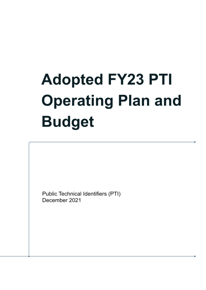# **Adopted FY23 PTI Operating Plan and Budget**

Public Technical Identifiers (PTI) December 2021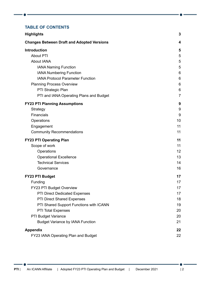#### **TABLE OF CONTENTS**

| <b>Highlights</b>                                 | 3              |
|---------------------------------------------------|----------------|
| <b>Changes Between Draft and Adopted Versions</b> | 4              |
| <b>Introduction</b>                               | 5              |
| <b>About PTI</b>                                  | 5              |
| <b>About IANA</b>                                 | 5              |
| <b>IANA Naming Function</b>                       | 5              |
| <b>IANA Numbering Function</b>                    | 6              |
| <b>IANA Protocol Parameter Function</b>           | 6              |
| <b>Planning Process Overview</b>                  | 6              |
| PTI Strategic Plan                                | 6              |
| PTI and IANA Operating Plans and Budget           | $\overline{7}$ |
| <b>FY23 PTI Planning Assumptions</b>              | 9              |
| Strategy                                          | 9              |
| Financials                                        | 9              |
| Operations                                        | 10             |
| Engagement                                        | 11             |
| <b>Community Recommendations</b>                  | 11             |
| <b>FY23 PTI Operating Plan</b>                    | 11             |
| Scope of work                                     | 11             |
| Operations                                        | 12             |
| <b>Operational Excellence</b>                     | 13             |
| <b>Technical Services</b>                         | 14             |
| Governance                                        | 16             |
| <b>FY23 PTI Budget</b>                            | 17             |
| Funding                                           | 17             |
| FY23 PTI Budget Overview                          | 17             |
| PTI Direct Dedicated Expenses                     | 17             |
| PTI Direct Shared Expenses                        | 18             |
| PTI Shared Support Functions with ICANN           | 19             |
| <b>PTI Total Expenses</b>                         | 20             |
| PTI Budget Variance                               | 20             |
| <b>Budget Variance by IANA Function</b>           | 21             |
| <b>Appendix</b>                                   | 22             |
| FY23 IANA Operating Plan and Budget               | 22             |

.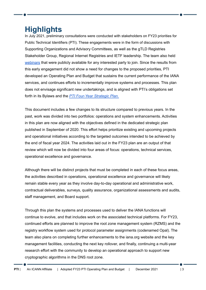# <span id="page-2-0"></span>**Highlights**

In July 2021, preliminary consultations were conducted with stakeholders on FY23 priorities for Public Technical Identifiers (PTI). These engagements were in the form of discussions with Supporting Organizations and Advisory Committees, as well as the gTLD Registries Stakeholder Group, Regional Internet Registries and IETF leadership. The team also held [webinars](https://community.icann.org/display/projfinadhocws/FY23+Budget+Webinars) that were publicly available for any interested party to join. Since the results from this early engagement did not show a need for changes to the proposed priorities, PTI developed an Operating Plan and Budget that sustains the current performance of the IANA services, and continues efforts to incrementally improve systems and processes. This plan does not envisage significant new undertakings, and is aligned with PTI's obligations set forth in its Bylaws and the *PTI [Four-Year](https://www.icann.org/en/system/files/files/pti-strategic-plan-2020-2024-15sep20-en.pdf) Strategic Plan*.

This document includes a few changes to its structure compared to previous years. In the past, work was divided into two portfolios: operations and system enhancements. Activities in this plan are now aligned with the objectives defined in the dedicated strategic plan published in September of 2020. This effort helps prioritize existing and upcoming projects and operational initiatives according to the targeted outcomes intended to be achieved by the end of fiscal year 2024. The activities laid out in the FY23 plan are an output of that review which will now be divided into four areas of focus: operations, technical services, operational excellence and governance.

Although there will be distinct projects that must be completed in each of these focus areas, the activities described in operations, operational excellence and governance will likely remain stable every year as they involve day-to-day operational and administrative work, contractual deliverables, surveys, quality assurance, organizational assessments and audits, staff management, and Board support.

Through this plan the systems and processes used to deliver the IANA functions will continue to evolve, and that includes work on the associated technical platforms. For FY23, continued efforts are planned to improve the root zone management system (RZMS) and the registry workflow system used for protocol parameter assignments (codenamed Opal). The team also plans on completing further enhancements to the iana.org website and the key management facilities, conducting the next key rollover, and finally, continuing a multi-year research effort with the community to develop an operational approach to support new cryptographic algorithms in the DNS root zone.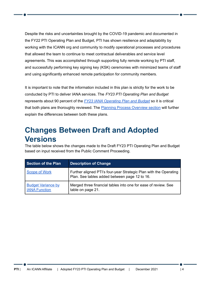Despite the risks and uncertainties brought by the COVID-19 pandemic and documented in the FY22 PTI Operating Plan and Budget, PTI has shown resilience and adaptability by working with the ICANN org and community to modify operational processes and procedures that allowed the team to continue to meet contractual deliverables and service level agreements. This was accomplished through supporting fully remote working by PTI staff, and successfully performing key signing key (KSK) ceremonies with minimized teams of staff and using significantly enhanced remote participation for community members.

It is important to note that the information included in this plan is strictly for the work to be conducted by PTI to deliver IANA services. The *FY23 PTI Operating Plan and Budget* represents about 90 percent of the *FY23 IANA [Operating](https://www.icann.org/en/public-comment/proceeding/draft-pti-and-iana-fy23-operating-plan-and-budgets-15-09-2021) Plan and Budget* so it is critical that both plans are thoroughly reviewed. The Planning Process [Overview](#page-5-2) section will further explain the differences between both these plans.

# <span id="page-3-0"></span>**Changes Between Draft and Adopted Versions**

The table below shows the changes made to the Draft FY23 PTI Operating Plan and Budget based on input received from the Public Comment Proceeding.

| <b>Section of the Plan</b>                        | <b>Description of Change</b>                                                                                       |
|---------------------------------------------------|--------------------------------------------------------------------------------------------------------------------|
| <b>Scope of Work</b>                              | Further aligned PTI's four-year Strategic Plan with the Operating<br>Plan. See tables added between page 12 to 16. |
| <b>Budget Variance by</b><br><b>IANA Function</b> | Merged three financial tables into one for ease of review. See<br>table on page 21.                                |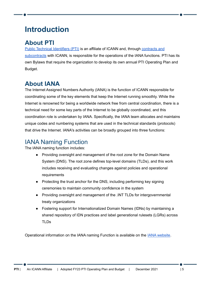# <span id="page-4-0"></span>**Introduction**

# <span id="page-4-1"></span>**About PTI**

Public Technical [Identifiers](https://pti.icann.org/) (PTI) is an affiliate of ICANN and, through [contracts](https://pti.icann.org/agreements) and [subcontracts](https://pti.icann.org/agreements) with ICANN, is responsible for the operations of the IANA functions. PTI has its own Bylaws that require the organization to develop its own annual PTI Operating Plan and Budget.

# <span id="page-4-2"></span>**About IANA**

The Internet Assigned Numbers Authority (IANA) is the function of ICANN responsible for coordinating some of the key elements that keep the Internet running smoothly. While the Internet is renowned for being a worldwide network free from central coordination, there is a technical need for some key parts of the Internet to be globally coordinated, and this coordination role is undertaken by IANA. Specifically, the IANA team allocates and maintains unique codes and numbering systems that are used in the technical standards (protocols) that drive the Internet. IANA's activities can be broadly grouped into three functions:

# <span id="page-4-3"></span>IANA Naming Function

The IANA naming function includes:

- Providing oversight and management of the root zone for the Domain Name System (DNS). The root zone defines top-level domains (TLDs), and this work includes receiving and evaluating changes against policies and operational requirements
- Protecting the trust anchor for the DNS, including performing key signing ceremonies to maintain community confidence in the system
- Providing oversight and management of the .INT TLDs for intergovernmental treaty organizations
- Fostering support for Internationalized Domain Names (IDNs) by maintaining a shared repository of IDN practices and label generational rulesets (LGRs) across TLDs

Operational information on the IANA naming Function is available on the IANA [website.](https://iana.org/domains)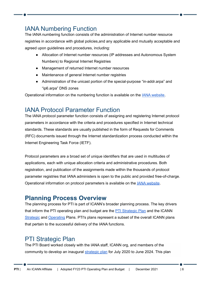# <span id="page-5-0"></span>IANA Numbering Function

The IANA numbering function consists of the administration of Internet number resource registries in accordance with global policies,and any applicable and mutually acceptable and agreed upon guidelines and procedures, including:

- Allocation of Internet number resources (IP addresses and Autonomous System Numbers) to Regional Internet Registries
- Management of returned Internet number resources
- Maintenance of general Internet number registries
- Administration of the unicast portion of the special-purpose "in-addr.arpa" and "ip6.arpa" DNS zones

Operational information on the numbering function is available on the IANA [website.](https://iana.org/numbers)

## <span id="page-5-1"></span>IANA Protocol Parameter Function

The IANA protocol parameter function consists of assigning and registering Internet protocol parameters in accordance with the criteria and procedures specified in Internet technical standards. These standards are usually published in the form of Requests for Comments (RFC) documents issued through the Internet standardization process conducted within the Internet Engineering Task Force (IETF).

Protocol parameters are a broad set of unique identifiers that are used in multitudes of applications, each with unique allocation criteria and administrative procedures. Both registration, and publication of the assignments made within the thousands of protocol parameter registries that IANA administers is open to the public and provided free-of-charge. Operational information on protocol parameters is available on the IANA [website](https://iana.org/protocols).

## <span id="page-5-2"></span>**Planning Process Overview**

The planning process for PTI is part of ICANN's broader planning process. The key drivers that inform the PTI operating plan and budget are the PTI [Strategic](https://www.icann.org/en/system/files/files/pti-strategic-plan-2020-2024-15sep20-en.pdf) Plan and the ICANN [Strategic](https://www.icann.org/resources/pages/strategic-engagement-2013-10-10-en) and [Operating](https://www.icann.org/resources/pages/governance/current-en) Plans. PTI's plans represent a subset of the overall ICANN plans that pertain to the successful delivery of the IANA functions.

# <span id="page-5-3"></span>PTI Strategic Plan

The PTI Board worked closely with the IANA staff, ICANN org, and members of the community to develop an inaugural [strategic](https://www.icann.org/en/system/files/files/pti-strategic-plan-2020-2024-15sep20-en.pdf) plan for July 2020 to June 2024. This plan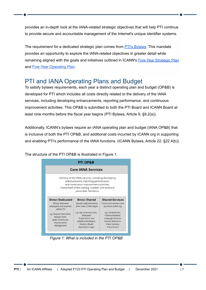provides an in-depth look at the IANA-related strategic objectives that will help PTI continue to provide secure and accountable management of the Internet's unique identifier systems.

The requirement for a dedicated strategic plan comes from **PTI's Bylaws**. This mandate provides an opportunity to explore the IANA-related objectives in greater detail while remaining aligned with the goals and initiatives outlined in ICANN's [Five-Year](https://www.icann.org/en/system/files/files/strategic-plan-2021-2025-24jun19-en.pdf) Strategic Plan and Five-Year [Operating](https://www.icann.org/resources/pages/governance/current-en) Plan.

# <span id="page-6-0"></span>PTI and IANA Operating Plans and Budget

To satisfy bylaws requirements, each year a distinct operating plan and budget (OP&B) is developed for PTI which includes all costs directly related to the delivery of the IANA services, including developing enhancements, reporting performance, and continuous improvement activities. This OP&B is submitted to both the PTI Board and ICANN Board at least nine months before the fiscal year begins (PTI Bylaws, Article 9, §9.2(a)).

Additionally, ICANN's bylaws require an IANA operating plan and budget (IANA OP&B) that is inclusive of both the PTI OP&B, and additional costs incurred by ICANN org in supporting and enabling PTI's performance of the IANA functions. (ICANN Bylaws, Article 22, §22.4(b)).

The structure of the PTI OP&B is illustrated in Figure 1.



*Figure 1: What is included in the PTI OP&B*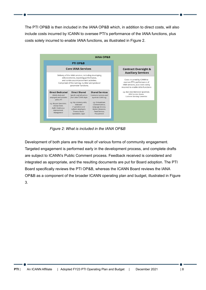The PTI OP&B is then included in the IANA OP&B which, in addition to direct costs, will also include costs incurred by ICANN to oversee PTI's performance of the IANA functions, plus costs solely incurred to enable IANA functions, as illustrated in Figure 2.



*Figure 2: What is included in the IANA OP&B*

Development of both plans are the result of various forms of community engagement. Targeted engagement is performed early in the development process, and complete drafts are subject to ICANN's Public Comment process. Feedback received is considered and integrated as appropriate, and the resulting documents are put for Board adoption. The PTI Board specifically reviews the PTI OP&B, whereas the ICANN Board reviews the IANA OP&B as a component of the broader ICANN operating plan and budget, illustrated in Figure 3.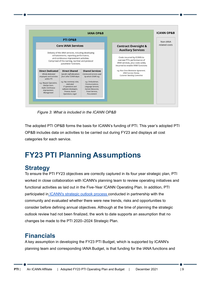

*Figure 3: What is included in the ICANN OP&B*

The adopted PTI OP&B forms the basis for ICANN's funding of PTI. This year's adopted PTI OP&B includes data on activities to be carried out during FY23 and displays all cost categories for each service.

# <span id="page-8-0"></span>**FY23 PTI Planning Assumptions**

## <span id="page-8-1"></span>**Strategy**

To ensure the PTI FY23 objectives are correctly captured in its four year strategic plan, PTI worked in close collaboration with ICANN's planning team to review operating initiatives and functional activities as laid out in the Five-Year ICANN [Operating](https://www.icann.org/resources/pages/introduction-2013-06-14-en) Plan. In addition, PTI participated in [ICANN's](https://www.icann.org/resources/pages/strategic-engagement-2013-10-10-en) strategic outlook process conducted in partnership with the community and evaluated whether there were new trends, risks and opportunities to consider before defining annual objectives. Although at the time of planning the strategic outlook review had not been finalized, the work to date supports an assumption that no changes be made to the PTI [2020](https://www.icann.org/en/system/files/files/pti-strategic-plan-2020-2024-15sep20-en.pdf)[–2](https://docs.google.com/document/d/1mZrpStgrzsAElJ88wwEBlvDBi_WupIorHnyyNHhSuZM/edit#heading=h.1ksv4uv)024 [Strategic](https://www.icann.org/en/system/files/files/pti-strategic-plan-2020-2024-15sep20-en.pdf) Plan.

## <span id="page-8-2"></span>**Financials**

A key assumption in developing the FY23 PTI Budget, which is supported by ICANN's planning team and corresponding IANA Budget, is that funding for the IANA functions and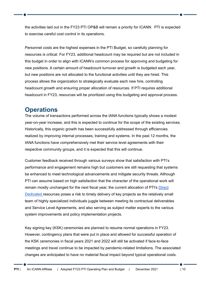the activities laid out in the FY23 PTI OP&B will remain a priority for ICANN. PTI is expected to exercise careful cost control in its operations.

Personnel costs are the highest expenses in the PTI Budget, so carefully planning for resources is critical. For FY23, additional headcount may be required but are not included in this budget in order to align with ICANN's common process for approving and budgeting for new positions. A certain amount of headcount turnover and growth is budgeted each year, but new positions are not allocated to the functional activities until they are hired. This process allows the organization to strategically evaluate each new hire, controlling headcount growth and ensuring proper allocation of resources. If PTI requires additional headcount in FY23, resources will be prioritized using this budgeting and approval process.

## <span id="page-9-0"></span>**Operations**

The volume of transactions performed across the IANA functions typically shows a modest year-on-year increase, and this is expected to continue for the scope of the existing services. Historically, this organic growth has been successfully addressed through efficiencies realized by improving internal processes, training and systems. In the past 12 months, the IANA functions have comprehensively met their service level agreements with their respective community groups, and it is expected that this will continue.

Customer feedback received through various surveys show that satisfaction with PTI's performance and engagement remains high but customers are still requesting that systems be enhanced to meet technological advancements and mitigate security threats. Although PTI can assume based on high satisfaction that the character of the operational work will remain mostly unchanged for the next fiscal year, the current allocation of PTI's [Direct](#page-16-3) [Dedicated](#page-16-3) resources poses a risk to timely delivery of key projects as the relatively small team of highly specialized individuals juggle between meeting its contractual deliverables and Service Level Agreements, and also serving as subject matter experts to the various system improvements and policy implementation projects.

Key signing key (KSK) ceremonies are planned to resume normal operations in FY23. However, contingency plans that were put in place and allowed for successful operation of the KSK ceremonies in fiscal years 2021 and 2022 will still be activated if face-to-face meetings and travel continue to be impacted by pandemic-related limitations. The associated changes are anticipated to have no material fiscal impact beyond typical operational costs.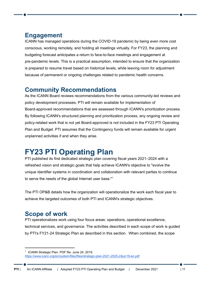# <span id="page-10-0"></span>**Engagement**

ICANN has managed operations during the COVID-19 pandemic by being even more cost conscious, working remotely, and holding all meetings virtually. For FY23, the planning and budgeting forecast anticipates a return to face-to-face meetings and engagement at pre-pandemic levels. This is a practical assumption, intended to ensure that the organization is prepared to resume travel based on historical levels, while leaving room for adjustment because of permanent or ongoing challenges related to pandemic health concerns.

# <span id="page-10-1"></span>**Community Recommendations**

As the ICANN Board reviews recommendations from the various community-led reviews and policy development processes, PTI will remain available for implementation of Board-approved recommendations that are assessed through ICANN's prioritization process. By following ICANN's structured planning and prioritization process, any ongoing review and policy-related work that is not yet Board-approved is not included in the FY23 PTI Operating Plan and Budget. PTI assumes that the Contingency funds will remain available for urgent unplanned activities if and when they arise.

# <span id="page-10-2"></span>**FY23 PTI Operating Plan**

PTI published its first dedicated strategic plan covering fiscal years 202[1–](https://docs.google.com/document/d/1mZrpStgrzsAElJ88wwEBlvDBi_WupIorHnyyNHhSuZM/edit#heading=h.1ksv4uv)2024 with a refreshed vision and strategic goals that help achieve ICANN's objective to "evolve the unique identifier systems in coordination and collaboration with relevant parties to continue to serve the needs of the global Internet user base."<sup>1</sup>

The PTI OP&B details how the organization will operationalize the work each fiscal year to achieve the targeted outcomes of both PTI and ICANN's strategic objectives.

# <span id="page-10-3"></span>**Scope of work**

PTI operationalizes work using four focus areas: operations, operational excellence, technical services, and governance. The activities described in each scope of work is guided by PTI's FY21-24 Strategic Plan as described in this section. When combined, the scope

<sup>&</sup>lt;sup>1</sup> ICANN Strategic Plan. PDF file. June 24, 2019. <https://www.icann.org/en/system/files/files/strategic-plan-2021-2025-24jun19-en.pdf>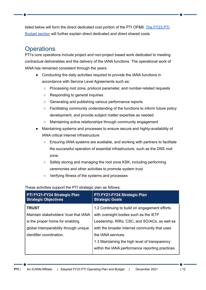listed below will form the direct dedicated cost portion of the PTI OP&B. The [FY23](#page-16-2) PTI [Budget](#page-16-2) section will further explain direct dedicated and direct shared costs.

# <span id="page-11-0"></span>**Operations**

PTI's core operations include project and non-project based work dedicated to meeting contractual deliverables and the delivery of the IANA functions. The operational work of IANA has remained consistent through the years:

- Conducting the daily activities required to provide the IANA functions in accordance with Service Level Agreements such as:
	- Processing root zone, protocol parameter, and number-related requests
	- Responding to general inquiries
	- Generating and publishing various performance reports
	- Facilitating community understanding of the functions to inform future policy development, and provide subject matter expertise as needed
	- Maintaining active relationships through community engagement
- Maintaining systems and processes to ensure secure and highly-availability of IANA critical internet infrastructure
	- Ensuring IANA systems are available, and working with partners to facilitate the successful operation of essential infrastructure, such as the DNS root zone.
	- Safely storing and managing the root zone KSK, including performing ceremonies and other activities to promote system trust
	- Verifying fitness of the systems and processes

#### These activities support the PTI strategic plan as follows:

| PTI FY21-FY24 Strategic Plan<br><b>Strategic Objectives</b> | PTI FY21-FY24 Strategic Plan<br><b>Strategic Goals</b> |
|-------------------------------------------------------------|--------------------------------------------------------|
| <b>TRUST</b>                                                | 1.2 Continuing to build on engagement efforts          |
| Maintain stakeholders' trust that IANA                      | with oversight bodies such as the IETF                 |
| is the proper home for enabling                             | Leadership, RIRs, CSC, and SO/ACs, as well as          |
| global interoperability through unique                      | with the broader Internet community that uses          |
| identifier coordination.                                    | the IANA services.                                     |
|                                                             | 1.3 Maintaining the high level of transparency         |
|                                                             | within the IANA performance reporting practices.       |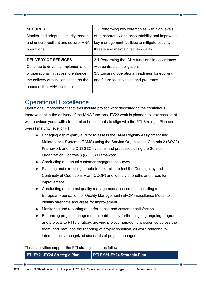| <b>SECURITY</b>                       | 2.2 Performing key ceremonies with high levels   |
|---------------------------------------|--------------------------------------------------|
| Monitor and adapt to security threats | of transparency and accountability and improving |
| and ensure resilient and secure IANA  | key management facilities to mitigate security   |
| operations.                           | threats and maintain facility quality.           |
|                                       |                                                  |
| <b>DELIVERY OF SERVICES</b>           | 3.1 Performing the IANA functions in accordance  |
|                                       |                                                  |
| Continue to drive the implementation  | with contractual obligations.                    |
| of operational initiatives to enhance | 3.3 Ensuring operational readiness for evolving  |
| the delivery of services based on the | and future technologies and programs.            |
| needs of the IANA customer.           |                                                  |

# <span id="page-12-0"></span>Operational Excellence

Operational improvement activities include project work dedicated to the continuous improvement in the delivery of the IANA functions. FY23 work is planned to stay consistent with previous years with structural enhancements to align with the PTI Strategic Plan and overall maturity level of PTI:

- Engaging a third-party auditor to assess the IANA Registry Assignment and Maintenance Systems (RAMS) using the Service Organization Controls 2 (SOC2) Framework and the DNSSEC systems and processes using the Service Organization Controls 3 (SOC3) Framework
- Conducting an annual customer engagement survey
- Planning and executing a table-top exercise to test the Contingency and Continuity of Operations Plan (CCOP) and identify strengths and areas for improvement
- Conducting an internal quality management assessment according to the European Foundation for Quality Management (EFQM) Excellence Model to identify strengths and areas for improvement
- Monitoring and reporting of performance and customer satisfaction
- Enhancing project management capabilities by further aligning ongoing programs and projects to PTI's strategy, growing project management expertise across the team, and maturing the reporting of project condition, all while adhering to internationally recognized standards of project management.

These activities support the PTI strategic plan as follows:

| PTI FY21-FY24 Strategic Plan | <b>PTI FY21-FY24 Strategic Plan</b> |
|------------------------------|-------------------------------------|
|------------------------------|-------------------------------------|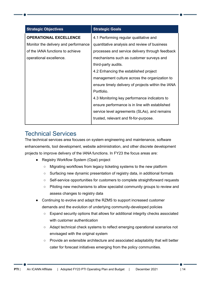| <b>Strategic Objectives</b>          | <b>Strategic Goals</b>                             |
|--------------------------------------|----------------------------------------------------|
| <b>OPERATIONAL EXCELLENCE</b>        | 4.1 Performing regular qualitative and             |
| Monitor the delivery and performance | quantitative analysis and review of business       |
| of the IANA functions to achieve     | processes and service delivery through feedback    |
| operational excellence.              | mechanisms such as customer surveys and            |
|                                      | third-party audits.                                |
|                                      | 4.2 Enhancing the established project              |
|                                      | management culture across the organization to      |
|                                      | ensure timely delivery of projects within the IANA |
|                                      | Portfolio.                                         |
|                                      | 4.3 Monitoring key performance indicators to       |
|                                      | ensure performance is in line with established     |
|                                      | service level agreements (SLAs), and remains       |
|                                      | trusted, relevant and fit-for-purpose.             |

## <span id="page-13-0"></span>Technical Services

The technical services area focuses on system engineering and maintenance, software enhancements, tool development, website administration, and other discrete development projects to improve delivery of the IANA functions. In FY23 the focus areas are:

- Registry Workflow System (Opal) project
	- Migrating workflows from legacy ticketing systems to the new platform
	- Surfacing new dynamic presentation of registry data, in additional formats
	- Self-service opportunities for customers to complete straightforward requests
	- Piloting new mechanisms to allow specialist community groups to review and assess changes to registry data
- Continuing to evolve and adapt the RZMS to support increased customer demands and the evolution of underlying community-developed policies
	- Expand security options that allows for additional integrity checks associated with customer authentication
	- Adapt technical check systems to reflect emerging operational scenarios not envisaged with the original system
	- Provide an extensible architecture and associated adaptability that will better cater for forecast initiatives emerging from the policy communities.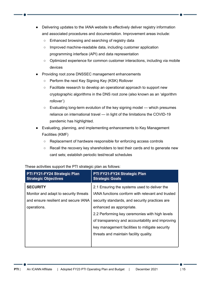- Delivering updates to the IANA website to effectively deliver registry information and associated procedures and documentation. Improvement areas include:
	- Enhanced browsing and searching of registry data
	- Improved machine-readable data, including customer application programming interface (API) and data representation
	- Optimized experience for common customer interactions, including via mobile devices
- Providing root zone DNSSEC management enhancements
	- Perform the next Key Signing Key (KSK) Rollover
	- Facilitate research to develop an operational approach to support new cryptographic algorithms in the DNS root zone (also known as an 'algorithm rollover')
	- Evaluating long-term evolution of the key signing model which presumes reliance on international travel — in light of the limitations the COVID-19 pandemic has highlighted.
- Evaluating, planning, and implementing enhancements to Key Management Facilities (KMF)
	- Replacement of hardware responsible for enforcing access controls
	- Recall the recovery key shareholders to test their cards and to generate new card sets; establish periodic test/recall schedules

| PTI FY21-FY24 Strategic Plan<br><b>Strategic Objectives</b>                                                     | PTI FY21-FY24 Strategic Plan<br><b>Strategic Goals</b>                                                                                                                                                                                                                                                                                 |
|-----------------------------------------------------------------------------------------------------------------|----------------------------------------------------------------------------------------------------------------------------------------------------------------------------------------------------------------------------------------------------------------------------------------------------------------------------------------|
| <b>SECURITY</b><br>Monitor and adapt to security threats<br>and ensure resilient and secure IANA<br>operations. | 2.1 Ensuring the systems used to deliver the<br>IANA functions conform with relevant and trusted<br>security standards, and security practices are<br>enhanced as appropriate.<br>2.2 Performing key ceremonies with high levels<br>of transparency and accountability and improving<br>key management facilities to mitigate security |
|                                                                                                                 | threats and maintain facility quality.                                                                                                                                                                                                                                                                                                 |

These activities support the PTI strategic plan as follows: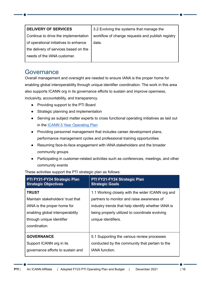| <b>DELIVERY OF SERVICES</b>           | 3.2 Evolving the systems that manage the         |
|---------------------------------------|--------------------------------------------------|
| Continue to drive the implementation  | workflow of change requests and publish registry |
| of operational initiatives to enhance | data.                                            |
| the delivery of services based on the |                                                  |
| needs of the IANA customer.           |                                                  |
|                                       |                                                  |

#### <span id="page-15-0"></span>**Governance**

Overall management and oversight are needed to ensure IANA is the proper home for enabling global interoperability through unique identifier coordination. The work in this area also supports ICANN org in its governance efforts to sustain and improve openness, inclusivity, accountability, and transparency.

- Providing support to the PTI Board
- Strategic planning and implementation
- Serving as subject matter experts to cross functional operating initiatives as laid out in the ICANN 5 Year [Operating](https://www.icann.org/resources/pages/governance/current-en) Plan
- Providing personnel management that includes career development plans, performance management cycles and professional training opportunities
- Resuming face-to-face engagement with IANA stakeholders and the broader community groups
- Participating in customer-related activities such as conferences, meetings, and other community events

| PTI FY21-FY24 Strategic Plan                                                                                                                                       | PTI FY21-FY24 Strategic Plan                                                                                                                                                                                                  |
|--------------------------------------------------------------------------------------------------------------------------------------------------------------------|-------------------------------------------------------------------------------------------------------------------------------------------------------------------------------------------------------------------------------|
| <b>Strategic Objectives</b>                                                                                                                                        | <b>Strategic Goals</b>                                                                                                                                                                                                        |
| <b>TRUST</b><br>Maintain stakeholders' trust that<br>IANA is the proper home for<br>enabling global interoperability<br>through unique identifier<br>coordination. | 1.1 Working closely with the wider ICANN org and<br>partners to monitor and raise awareness of<br>industry trends that help identify whether IANA is<br>being properly utilized to coordinate evolving<br>unique identifiers. |
| <b>GOVERNANCE</b>                                                                                                                                                  | 5.1 Supporting the various review processes                                                                                                                                                                                   |
| Support ICANN org in its                                                                                                                                           | conducted by the community that pertain to the                                                                                                                                                                                |
| governance efforts to sustain and                                                                                                                                  | <b>IANA</b> function.                                                                                                                                                                                                         |

These activities support the PTI strategic plan as follows: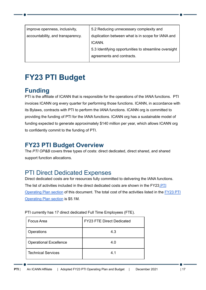| improve openness, inclusivity,<br>accountability, and transparency. | 5.2 Reducing unnecessary complexity and<br>duplication between what is in scope for IANA and<br>ICANN. |
|---------------------------------------------------------------------|--------------------------------------------------------------------------------------------------------|
|                                                                     | 5.3 Identifying opportunities to streamline oversight<br>agreements and contracts.                     |
|                                                                     |                                                                                                        |

# <span id="page-16-0"></span>**FY23 PTI Budget**

# <span id="page-16-1"></span>**Funding**

PTI is the affiliate of ICANN that is responsible for the operations of the IANA functions. PTI invoices ICANN org every quarter for performing those functions. ICANN, in accordance with its Bylaws, contracts with PTI to perform the IANA functions. ICANN org is committed to providing the funding of PTI for the IANA functions. ICANN org has a sustainable model of funding expected to generate approximately \$140 million per year, which allows ICANN org to confidently commit to the funding of PTI.

# <span id="page-16-2"></span>**FY23 PTI Budget Overview**

The *PTI OP&B* covers three types of costs: direct dedicated, direct shared, and shared support function allocations.

# <span id="page-16-3"></span>PTI Direct Dedicated Expenses

Direct dedicated costs are for resources fully committed to delivering the IANA functions. The list of activities included in the direct dedicated costs are shown in the FY23 [PTI](#page-10-2) [Operating](#page-10-2) Plan section of this document. The total cost of the activities listed in the [FY23](#page-10-2) PTI [Operating](#page-10-2) Plan section is \$5.1M.

| <b>Focus Area</b>             | <b>FY23 FTE Direct Dedicated</b> |
|-------------------------------|----------------------------------|
| Operations                    | 4.3                              |
| <b>Operational Excellence</b> | 4.0                              |
| <b>Technical Services</b>     | 4.1                              |

PTI currently has 17 direct dedicated Full Time Employees (FTE).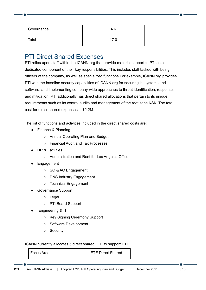| Governance | 4.6  |
|------------|------|
| Total      | 17.0 |

# <span id="page-17-0"></span>PTI Direct Shared Expenses

PTI relies upon staff within the ICANN org that provide material support to PTI as a dedicated component of their key responsibilities. This includes staff tasked with being officers of the company, as well as specialized functions.For example, ICANN org provides PTI with the baseline security capabilities of ICANN org for securing its systems and software, and implementing company-wide approaches to threat identification, response, and mitigation. PTI additionally has direct shared allocations that pertain to its unique requirements such as its control audits and management of the root zone KSK. The total cost for direct shared expenses is \$2.2M.

The list of functions and activities included in the direct shared costs are:

- Finance & Planning
	- Annual Operating Plan and Budget
	- Financial Audit and Tax Processes
- HR & Facilities
	- Administration and Rent for Los Angeles Office
- **Engagement** 
	- SO & AC Engagement
	- DNS Industry Engagement
	- Technical Engagement
- Governance Support
	- Legal
	- PTI Board Support
- Engineering & IT
	- Key Signing Ceremony Support
	- Software Development
	- Security

ICANN currently allocates 5 direct shared FTE to support PTI.

Focus Area **F**TE Direct Shared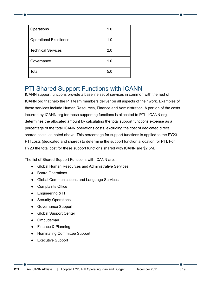| Operations                    | 1.0 |
|-------------------------------|-----|
| <b>Operational Excellence</b> | 1.0 |
| <b>Technical Services</b>     | 2.0 |
| Governance                    | 1.0 |
| Total                         | 5.0 |

## <span id="page-18-0"></span>PTI Shared Support Functions with ICANN

ICANN support functions provide a baseline set of services in common with the rest of ICANN org that help the PTI team members deliver on all aspects of their work. Examples of these services include Human Resources, Finance and Administration. A portion of the costs incurred by ICANN org for these supporting functions is allocated to PTI. ICANN org determines the allocated amount by calculating the total support functions expense as a percentage of the total ICANN operations costs, excluding the cost of dedicated direct shared costs, as noted above. This percentage for support functions is applied to the FY23 PTI costs (dedicated and shared) to determine the support function allocation for PTI. For FY23 the total cost for these support functions shared with ICANN are \$2.5M.

The list of Shared Support Functions with ICANN are:

- Global Human Resources and Administrative Services
- Board Operations
- Global Communications and Language Services
- Complaints Office
- Engineering & IT
- Security Operations
- Governance Support
- **Global Support Center**
- Ombudsman
- Finance & Planning
- Nominating Committee Support
- **Executive Support**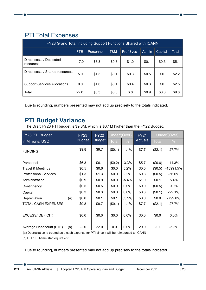# <span id="page-19-0"></span>PTI Total Expenses

| FY23 Grand Total Including Support Functions Shared with ICANN |      |           |       |                  |       |         |       |  |  |  |
|----------------------------------------------------------------|------|-----------|-------|------------------|-------|---------|-------|--|--|--|
|                                                                | FTE. | Personnel | T&M   | <b>Prof Sycs</b> | Admin | Capital | Total |  |  |  |
| Direct costs / Dedicated<br>resources                          | 17.0 | \$3.3     | \$0.3 | \$1.0            | \$0.1 | \$0.3   | \$5.1 |  |  |  |
| Direct costs / Shared resources                                | 5.0  | \$1.3     | \$0.1 | \$0.3            | \$0.5 | \$0     | \$2.2 |  |  |  |
| <b>Support Services Allocations</b>                            | 0.0  | \$1.6     | \$0.1 | \$0.4            | \$0.3 | \$0     | \$2.5 |  |  |  |
| Total                                                          | 22.0 | \$6.3     | \$0.5 | \$.8             | \$0.9 | \$0.3   | \$9.8 |  |  |  |

Due to rounding, numbers presented may not add up precisely to the totals indicated.

# <span id="page-19-1"></span>**PTI Budget Variance**

The Draft FY23 PTI budget is \$9.8M, which is \$0.1M higher than the FY22 Budget.

| <b>FY23 PTI Budget</b><br>in Millions, USD                                                 |     | <b>FY23</b>   | <b>FY22</b>   | Under/(Over) |               | <b>FY21</b>    | Under/(Over) |             |  |
|--------------------------------------------------------------------------------------------|-----|---------------|---------------|--------------|---------------|----------------|--------------|-------------|--|
|                                                                                            |     | <b>Budget</b> | <b>Budget</b> | <b>Total</b> | $\frac{0}{0}$ | <b>Actuals</b> | <b>Total</b> | $\%$        |  |
| FUNDING                                                                                    |     | \$9.8         | \$9.7         | (\$0.1)      | $-1.1%$       | \$7.7          | (\$2.1)      | $-27.7%$    |  |
| Personnel                                                                                  |     | \$6.3         | \$6.1         | (\$0.2)      | $-3.3%$       | \$5.7          | (\$0.6)      | $-11.3%$    |  |
| Travel & Meetings                                                                          |     | \$0.5         | \$0.6         | \$0.0        | 5.2%          | \$0.0          | (\$0.5)      | $-13991.5%$ |  |
| <b>Professional Services</b>                                                               |     | \$1.3         | \$1.3         | \$0.0        | 2.2%          | \$0.8          | (\$0.5)      | $-56.6%$    |  |
| Administration                                                                             |     | \$0.9         | \$0.9         | \$0.0        | $-5.4%$       | \$1.0          | \$0.1        | 5.4%        |  |
| Contingency                                                                                |     | \$0.5         | \$0.5         | \$0.0        | 0.0%          | \$0.0          | (\$0.5)      | 0.0%        |  |
| Capital                                                                                    |     | \$0.3         | \$0.3         | \$0.0        | 0.0%          | \$0.3          | (\$0.1)      | $-22.1%$    |  |
| Depreciation                                                                               | (a) | \$0.0         | \$0.1         | \$0.1        | 83.2%         | \$0.0          | \$0.0        | -799.0%     |  |
| <b>TOTAL CASH EXPENSES</b>                                                                 |     | \$9.8         | \$9.7         | (\$0.1)      | $-1.1%$       | \$7.7          | (\$2.1)      | $-27.7%$    |  |
| EXCESS/(DEFICIT)                                                                           |     | \$0.0         | \$0.0         | \$0.0        | 0.0%          | \$0.0          | \$0.0        | 0.0%        |  |
| Average Headcount (FTE)                                                                    | (b) | 22.0          | 22.0          | 0.0          | 0.0%          | 20.9           | $-1.1$       | $-5.2%$     |  |
| (a) Depreciation is treated as a cash expense for PTI since it will be reimbursed to ICANN |     |               |               |              |               |                |              |             |  |
| (b) FTE: Full-time staff equivalent                                                        |     |               |               |              |               |                |              |             |  |

Due to rounding, numbers presented may not add up precisely to the totals indicated.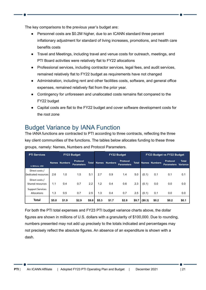The key comparisons to the previous year's budget are:

- Personnel costs are \$0.2M higher, due to an ICANN standard three percent inflationary adjustment for standard of living increases, promotions, and health care benefits costs
- Travel and Meetings, including travel and venue costs for outreach, meetings, and PTI Board activities were relatively flat to FY22 allocations
- Professional services, including contractor services, legal fees, and audit services, remained relatively flat to FY22 budget as requirements have not changed
- Administration, including rent and other facilities costs, software, and general office expenses, remained relatively flat from the prior year.
- Contingency for unforeseen and unallocated costs remains flat compared to the FY22 budget
- Capital costs are flat to the FY22 budget and cover software development costs for the root zone

# <span id="page-20-0"></span>Budget Variance by IANA Function

The IANA functions are contracted to PTI according to three contracts, reflecting the three key client communities of the functions. The tables below allocates funding to these three groups, namely: Names, Numbers and Protocol Parameters.

| <b>PTI Services</b>                    |       |                      | <b>FY23 Budget</b>            |              | <b>FY22 Budget</b> |                |                                      |              | <b>FY23 Budget vs FY22 Budget</b> |                      |                                      |                          |  |
|----------------------------------------|-------|----------------------|-------------------------------|--------------|--------------------|----------------|--------------------------------------|--------------|-----------------------------------|----------------------|--------------------------------------|--------------------------|--|
| In Millions, USD                       |       | <b>Names Numbers</b> | Protocol<br><b>Parameters</b> | <b>Total</b> | <b>Names</b>       | <b>Numbers</b> | <b>Protocol</b><br><b>Parameters</b> | <b>Total</b> |                                   | <b>Names Numbers</b> | <b>Protocol</b><br><b>Parameters</b> | <b>Total</b><br>Variance |  |
| Direct costs /<br>Dedicated resources  | 2.6   | 1.0                  | 1.5                           | 5.1          | 2.7                | 0.9            | 1.4                                  | 5.0          | (0.1)                             | 0.1                  | 0.1                                  | 0.1                      |  |
| Direct costs /<br>Shared resources     | 1.1   | 0.4                  | 0.7                           | 2.2          | 1.2                | 0.4            | 0.6                                  | 2.3          | (0.1)                             | 0.0                  | 0.0                                  | 0.0                      |  |
| <b>Support Services</b><br>Allocations | 1.3   | 0.5                  | 0.7                           | 2.5          | 1.3                | 0.4            | 0.7                                  | 2.5          | (0.1)                             | 0.1                  | 0.0                                  | 0.0                      |  |
| <b>Total</b>                           | \$5.0 | \$1.9                | \$2.9                         | \$9.8        | \$5.3              | \$1.7          | \$2.8                                | \$9.7        | (\$0.3)                           | \$0.2                | \$0.2                                | \$0.1                    |  |

For both the PTI total expenses and FY23 PTI budget variance charts above, the dollar figures are shown in millions of U.S. dollars with a granularity of \$100,000. Due to rounding, numbers presented may not add up precisely to the totals indicated and percentages may not precisely reflect the absolute figures. An absence of an expenditure is shown with a dash.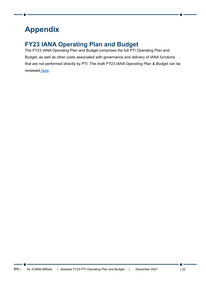# <span id="page-21-0"></span>**Appendix**

# <span id="page-21-1"></span>**FY23 IANA Operating Plan and Budget**

The FY23 IANA Operating Plan and Budget comprises the full PTI Operating Plan and Budget, as well as other costs associated with governance and delivery of IANA functions that are not performed directly by PTI. The draft *FY23 IANA Operating Plan & Budget* can be reviewed [here](https://www.icann.org/en/public-comment/proceeding/draft-pti-and-iana-fy23-operating-plan-and-budgets-15-09-2021).